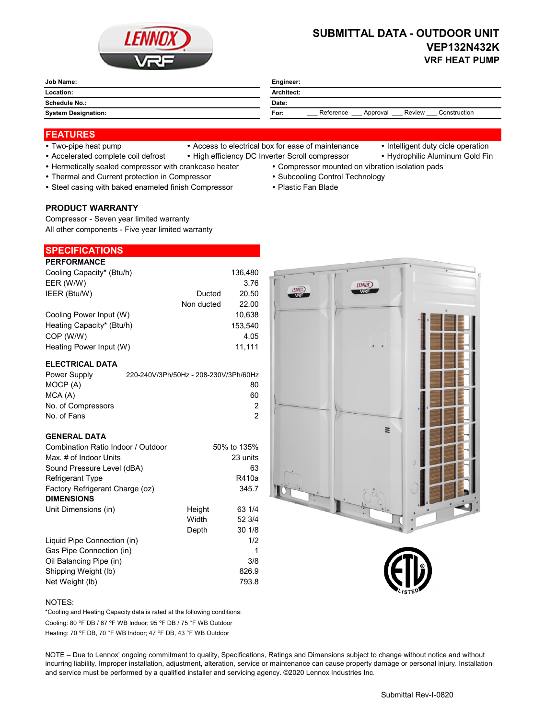

# **SUBMITTAL DATA - OUTDOOR UNIT VEP132N432K VRF HEAT PUMP**

| <b>Job Name:</b><br>______ | Engineer:                                               |  |  |
|----------------------------|---------------------------------------------------------|--|--|
| Location:                  | Architect:                                              |  |  |
| <b>Schedule No.:</b>       | Date:                                                   |  |  |
| <b>System Designation:</b> | Reference<br>Review<br>Construction<br>For:<br>Approval |  |  |

## **FEATURES**

- 
- Two-pipe heat pump Access to electrical box for ease of maintenance Intelligent duty cicle operation
	-
	-
- Accelerated complete coil defrost High efficiency DC Inverter Scroll compressor Hydrophilic Aluminum Gold Fin
- Hermetically sealed compressor with crankcase heater Compressor mounted on vibration isolation pads
- Thermal and Current protection in Compressor **Subcooling Control Technology · Subcooling Control Technology**
- Steel casing with baked enameled finish Compressor Plastic Fan Blade

#### **PRODUCT WARRANTY**

Compressor - Seven year limited warranty All other components - Five year limited warranty

# **SPECIFICATIONS**

| <b>PERFORMANCE</b>        |            |         |
|---------------------------|------------|---------|
| Cooling Capacity* (Btu/h) |            | 136,480 |
| EER (W/W)                 |            | 3.76    |
| IEER (Btu/W)              | Ducted     | 20.50   |
|                           | Non ducted | 22.00   |
| Cooling Power Input (W)   |            | 10.638  |
| Heating Capacity* (Btu/h) |            | 153.540 |
| COP (W/W)                 |            | 4.05    |
| Heating Power Input (W)   |            | 11.111  |

#### **ELECTRICAL DATA**

| Power Supply       | 220-240V/3Ph/50Hz - 208-230V/3Ph/60Hz |
|--------------------|---------------------------------------|
| MOCP (A)           | 80                                    |
| MCA(A)             | 60                                    |
| No. of Compressors | 2                                     |
| No. of Fans        | 2                                     |

#### **GENERAL DATA**

| Combination Ratio Indoor / Outdoor |        | 50% to 135% |
|------------------------------------|--------|-------------|
| Max. # of Indoor Units             |        | 23 units    |
| Sound Pressure Level (dBA)         |        | 63          |
| <b>Refrigerant Type</b>            |        | R410a       |
| Factory Refrigerant Charge (oz)    |        | 345.7       |
| <b>DIMENSIONS</b>                  |        |             |
| Unit Dimensions (in)               | Height | 63 1/4      |
|                                    | Width  | 52 3/4      |
|                                    | Depth  | 30 1/8      |
| Liquid Pipe Connection (in)        |        | 1/2         |
| Gas Pipe Connection (in)           |        | 1           |
| Oil Balancing Pipe (in)            |        | 3/8         |
| Shipping Weight (lb)               |        | 826.9       |
| Net Weight (lb)                    |        | 793.8       |



#### NOTES:

Cooling: 80 °F DB / 67 °F WB Indoor; 95 °F DB / 75 °F WB Outdoor Heating: 70 °F DB, 70 °F WB Indoor; 47 °F DB, 43 °F WB Outdoor \*Cooling and Heating Capacity data is rated at the following conditions:

NOTE – Due to Lennox' ongoing commitment to quality, Specifications, Ratings and Dimensions subject to change without notice and without incurring liability. Improper installation, adjustment, alteration, service or maintenance can cause property damage or personal injury. Installation and service must be performed by a qualified installer and servicing agency. ©2020 Lennox Industries Inc.